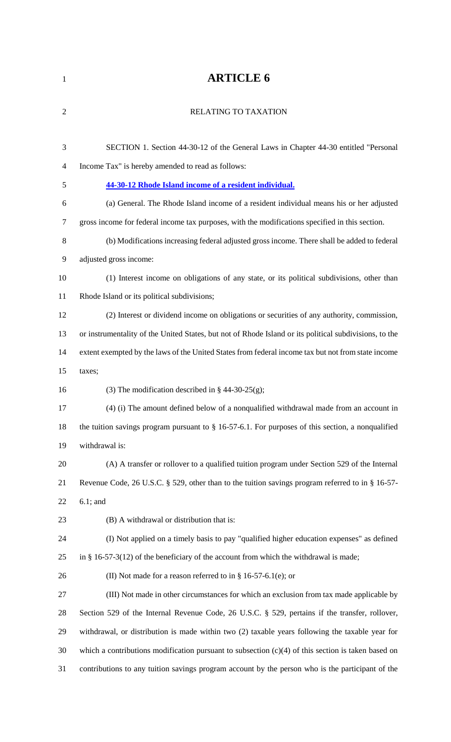# **ARTICLE 6**

| $\overline{2}$ | RELATING TO TAXATION                                                                                   |
|----------------|--------------------------------------------------------------------------------------------------------|
|                |                                                                                                        |
| 3              | SECTION 1. Section 44-30-12 of the General Laws in Chapter 44-30 entitled "Personal                    |
| 4              | Income Tax" is hereby amended to read as follows:                                                      |
| 5              | 44-30-12 Rhode Island income of a resident individual.                                                 |
| 6              | (a) General. The Rhode Island income of a resident individual means his or her adjusted                |
| 7              | gross income for federal income tax purposes, with the modifications specified in this section.        |
| 8              | (b) Modifications increasing federal adjusted gross income. There shall be added to federal            |
| 9              | adjusted gross income:                                                                                 |
| 10             | (1) Interest income on obligations of any state, or its political subdivisions, other than             |
| 11             | Rhode Island or its political subdivisions;                                                            |
| 12             | (2) Interest or dividend income on obligations or securities of any authority, commission,             |
| 13             | or instrumentality of the United States, but not of Rhode Island or its political subdivisions, to the |
| 14             | extent exempted by the laws of the United States from federal income tax but not from state income     |
| 15             | taxes;                                                                                                 |
| 16             | (3) The modification described in $\S$ 44-30-25(g);                                                    |
| 17             | (4) (i) The amount defined below of a nonqualified withdrawal made from an account in                  |
| 18             | the tuition savings program pursuant to § 16-57-6.1. For purposes of this section, a nonqualified      |
| 19             | withdrawal is:                                                                                         |
| 20             | (A) A transfer or rollover to a qualified tuition program under Section 529 of the Internal            |
| 21             | Revenue Code, 26 U.S.C. § 529, other than to the tuition savings program referred to in § 16-57-       |
| 22             | $6.1$ ; and                                                                                            |
| 23             | (B) A withdrawal or distribution that is:                                                              |
| 24             | (I) Not applied on a timely basis to pay "qualified higher education expenses" as defined              |
| 25             | in § 16-57-3(12) of the beneficiary of the account from which the withdrawal is made;                  |
| 26             | (II) Not made for a reason referred to in § 16-57-6.1(e); or                                           |
| 27             | (III) Not made in other circumstances for which an exclusion from tax made applicable by               |
| 28             | Section 529 of the Internal Revenue Code, 26 U.S.C. § 529, pertains if the transfer, rollover,         |
| 29             | withdrawal, or distribution is made within two (2) taxable years following the taxable year for        |
| 30             | which a contributions modification pursuant to subsection $(c)(4)$ of this section is taken based on   |
| 31             | contributions to any tuition savings program account by the person who is the participant of the       |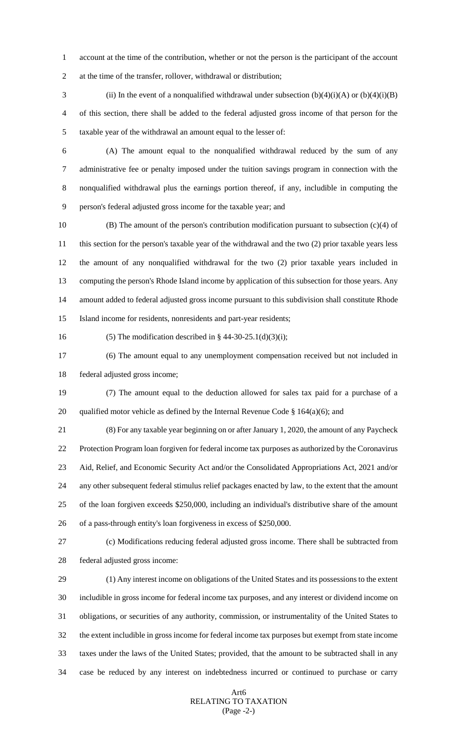account at the time of the contribution, whether or not the person is the participant of the account at the time of the transfer, rollover, withdrawal or distribution;

3 (ii) In the event of a nonqualified withdrawal under subsection  $(b)(4)(i)(A)$  or  $(b)(4)(i)(B)$  of this section, there shall be added to the federal adjusted gross income of that person for the taxable year of the withdrawal an amount equal to the lesser of:

 (A) The amount equal to the nonqualified withdrawal reduced by the sum of any administrative fee or penalty imposed under the tuition savings program in connection with the nonqualified withdrawal plus the earnings portion thereof, if any, includible in computing the person's federal adjusted gross income for the taxable year; and

 (B) The amount of the person's contribution modification pursuant to subsection (c)(4) of this section for the person's taxable year of the withdrawal and the two (2) prior taxable years less the amount of any nonqualified withdrawal for the two (2) prior taxable years included in computing the person's Rhode Island income by application of this subsection for those years. Any amount added to federal adjusted gross income pursuant to this subdivision shall constitute Rhode Island income for residents, nonresidents and part-year residents;

16 (5) The modification described in §  $44-30-25.1(d)(3)(i)$ ;

 (6) The amount equal to any unemployment compensation received but not included in federal adjusted gross income;

 (7) The amount equal to the deduction allowed for sales tax paid for a purchase of a 20 qualified motor vehicle as defined by the Internal Revenue Code  $\S$  164(a)(6); and

 (8) For any taxable year beginning on or after January 1, 2020, the amount of any Paycheck Protection Program loan forgiven for federal income tax purposes as authorized by the Coronavirus Aid, Relief, and Economic Security Act and/or the Consolidated Appropriations Act, 2021 and/or any other subsequent federal stimulus relief packages enacted by law, to the extent that the amount of the loan forgiven exceeds \$250,000, including an individual's distributive share of the amount of a pass-through entity's loan forgiveness in excess of \$250,000.

 (c) Modifications reducing federal adjusted gross income. There shall be subtracted from federal adjusted gross income:

 (1) Any interest income on obligations of the United States and its possessions to the extent includible in gross income for federal income tax purposes, and any interest or dividend income on obligations, or securities of any authority, commission, or instrumentality of the United States to the extent includible in gross income for federal income tax purposes but exempt from state income taxes under the laws of the United States; provided, that the amount to be subtracted shall in any case be reduced by any interest on indebtedness incurred or continued to purchase or carry

### Art6 RELATING TO TAXATION (Page -2-)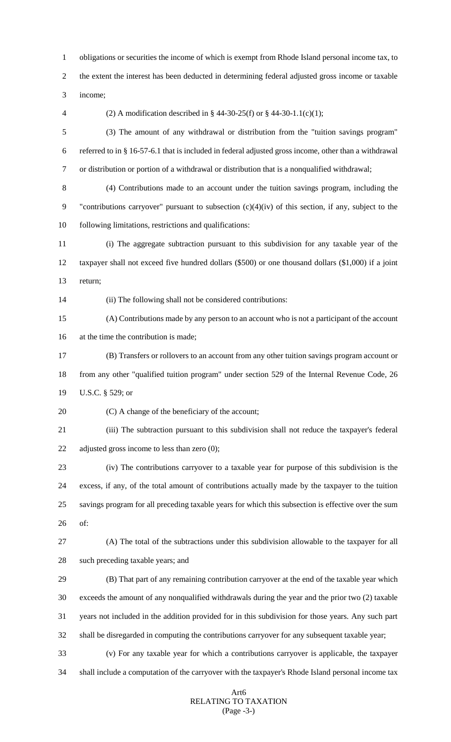obligations or securities the income of which is exempt from Rhode Island personal income tax, to the extent the interest has been deducted in determining federal adjusted gross income or taxable income;

(2) A modification described in § 44-30-25(f) or § 44-30-1.1(c)(1);

 (3) The amount of any withdrawal or distribution from the "tuition savings program" referred to in § 16-57-6.1 that is included in federal adjusted gross income, other than a withdrawal or distribution or portion of a withdrawal or distribution that is a nonqualified withdrawal;

 (4) Contributions made to an account under the tuition savings program, including the "contributions carryover" pursuant to subsection (c)(4)(iv) of this section, if any, subject to the following limitations, restrictions and qualifications:

 (i) The aggregate subtraction pursuant to this subdivision for any taxable year of the taxpayer shall not exceed five hundred dollars (\$500) or one thousand dollars (\$1,000) if a joint return;

(ii) The following shall not be considered contributions:

 (A) Contributions made by any person to an account who is not a participant of the account at the time the contribution is made;

 (B) Transfers or rollovers to an account from any other tuition savings program account or from any other "qualified tuition program" under section 529 of the Internal Revenue Code, 26 U.S.C. § 529; or

20 (C) A change of the beneficiary of the account;

 (iii) The subtraction pursuant to this subdivision shall not reduce the taxpayer's federal adjusted gross income to less than zero (0);

 (iv) The contributions carryover to a taxable year for purpose of this subdivision is the excess, if any, of the total amount of contributions actually made by the taxpayer to the tuition savings program for all preceding taxable years for which this subsection is effective over the sum of:

 (A) The total of the subtractions under this subdivision allowable to the taxpayer for all such preceding taxable years; and

 (B) That part of any remaining contribution carryover at the end of the taxable year which exceeds the amount of any nonqualified withdrawals during the year and the prior two (2) taxable years not included in the addition provided for in this subdivision for those years. Any such part shall be disregarded in computing the contributions carryover for any subsequent taxable year;

 (v) For any taxable year for which a contributions carryover is applicable, the taxpayer shall include a computation of the carryover with the taxpayer's Rhode Island personal income tax

### Art6 RELATING TO TAXATION (Page -3-)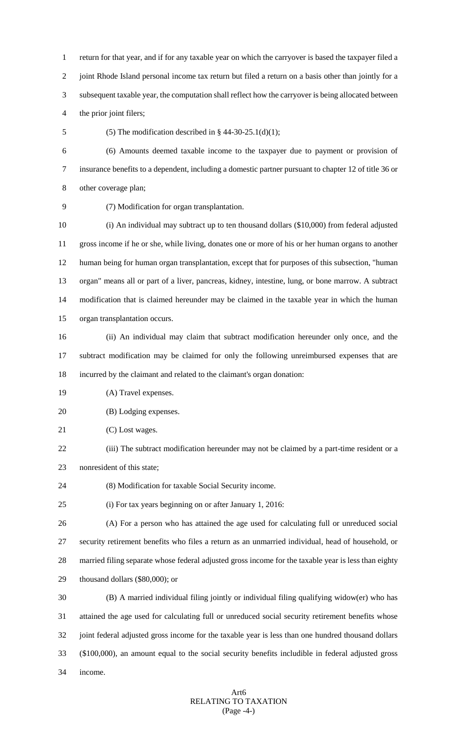return for that year, and if for any taxable year on which the carryover is based the taxpayer filed a joint Rhode Island personal income tax return but filed a return on a basis other than jointly for a subsequent taxable year, the computation shall reflect how the carryover is being allocated between the prior joint filers;

5 (5) The modification described in  $§$  44-30-25.1(d)(1);

 (6) Amounts deemed taxable income to the taxpayer due to payment or provision of insurance benefits to a dependent, including a domestic partner pursuant to chapter 12 of title 36 or other coverage plan;

(7) Modification for organ transplantation.

 (i) An individual may subtract up to ten thousand dollars (\$10,000) from federal adjusted gross income if he or she, while living, donates one or more of his or her human organs to another human being for human organ transplantation, except that for purposes of this subsection, "human organ" means all or part of a liver, pancreas, kidney, intestine, lung, or bone marrow. A subtract modification that is claimed hereunder may be claimed in the taxable year in which the human organ transplantation occurs.

 (ii) An individual may claim that subtract modification hereunder only once, and the subtract modification may be claimed for only the following unreimbursed expenses that are incurred by the claimant and related to the claimant's organ donation:

(A) Travel expenses.

(B) Lodging expenses.

21 (C) Lost wages.

- (iii) The subtract modification hereunder may not be claimed by a part-time resident or a nonresident of this state;
- (8) Modification for taxable Social Security income.
- (i) For tax years beginning on or after January 1, 2016:

 (A) For a person who has attained the age used for calculating full or unreduced social security retirement benefits who files a return as an unmarried individual, head of household, or married filing separate whose federal adjusted gross income for the taxable year is less than eighty thousand dollars (\$80,000); or

 (B) A married individual filing jointly or individual filing qualifying widow(er) who has attained the age used for calculating full or unreduced social security retirement benefits whose joint federal adjusted gross income for the taxable year is less than one hundred thousand dollars (\$100,000), an amount equal to the social security benefits includible in federal adjusted gross income.

# Art6 RELATING TO TAXATION (Page -4-)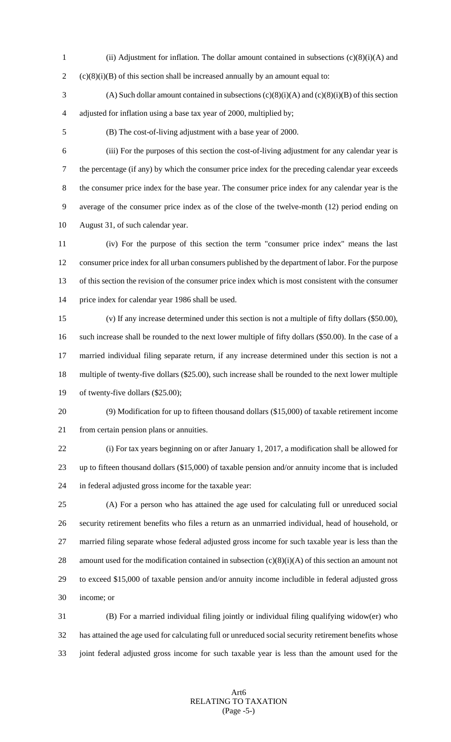- 1 (ii) Adjustment for inflation. The dollar amount contained in subsections  $(c)(8)(i)(A)$  and
- 2 (c)(8)(i)(B) of this section shall be increased annually by an amount equal to:
- 3 (A) Such dollar amount contained in subsections  $(c)(8)(i)(A)$  and  $(c)(8)(i)(B)$  of this section adjusted for inflation using a base tax year of 2000, multiplied by;
- 

(B) The cost-of-living adjustment with a base year of 2000.

 (iii) For the purposes of this section the cost-of-living adjustment for any calendar year is the percentage (if any) by which the consumer price index for the preceding calendar year exceeds the consumer price index for the base year. The consumer price index for any calendar year is the average of the consumer price index as of the close of the twelve-month (12) period ending on August 31, of such calendar year.

 (iv) For the purpose of this section the term "consumer price index" means the last consumer price index for all urban consumers published by the department of labor. For the purpose of this section the revision of the consumer price index which is most consistent with the consumer price index for calendar year 1986 shall be used.

 (v) If any increase determined under this section is not a multiple of fifty dollars (\$50.00), such increase shall be rounded to the next lower multiple of fifty dollars (\$50.00). In the case of a married individual filing separate return, if any increase determined under this section is not a multiple of twenty-five dollars (\$25.00), such increase shall be rounded to the next lower multiple of twenty-five dollars (\$25.00);

 (9) Modification for up to fifteen thousand dollars (\$15,000) of taxable retirement income 21 from certain pension plans or annuities.

 (i) For tax years beginning on or after January 1, 2017, a modification shall be allowed for up to fifteen thousand dollars (\$15,000) of taxable pension and/or annuity income that is included in federal adjusted gross income for the taxable year:

 (A) For a person who has attained the age used for calculating full or unreduced social security retirement benefits who files a return as an unmarried individual, head of household, or married filing separate whose federal adjusted gross income for such taxable year is less than the 28 amount used for the modification contained in subsection  $(c)(8)(i)(A)$  of this section an amount not to exceed \$15,000 of taxable pension and/or annuity income includible in federal adjusted gross income; or

 (B) For a married individual filing jointly or individual filing qualifying widow(er) who has attained the age used for calculating full or unreduced social security retirement benefits whose joint federal adjusted gross income for such taxable year is less than the amount used for the

## Art6 RELATING TO TAXATION (Page -5-)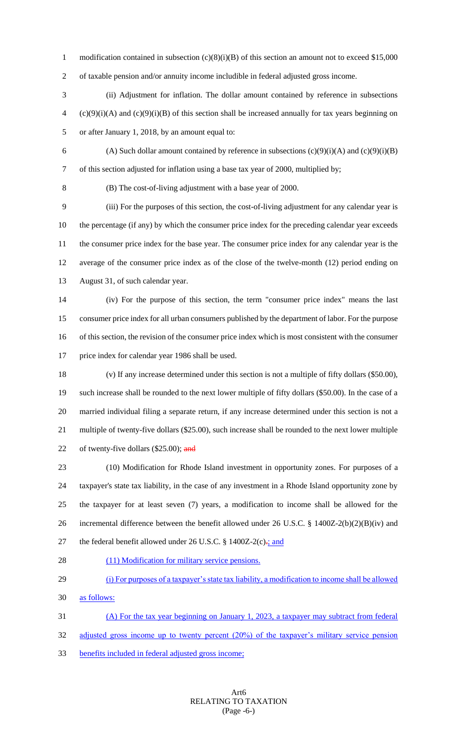1 modification contained in subsection (c)(8)(i)(B) of this section an amount not to exceed \$15,000

of taxable pension and/or annuity income includible in federal adjusted gross income.

 (ii) Adjustment for inflation. The dollar amount contained by reference in subsections  $(2)(9)(i)(A)$  and  $(c)(9)(i)(B)$  of this section shall be increased annually for tax years beginning on or after January 1, 2018, by an amount equal to:

6 (A) Such dollar amount contained by reference in subsections  $(c)(9)(i)(A)$  and  $(c)(9)(i)(B)$ of this section adjusted for inflation using a base tax year of 2000, multiplied by;

(B) The cost-of-living adjustment with a base year of 2000.

 (iii) For the purposes of this section, the cost-of-living adjustment for any calendar year is the percentage (if any) by which the consumer price index for the preceding calendar year exceeds the consumer price index for the base year. The consumer price index for any calendar year is the average of the consumer price index as of the close of the twelve-month (12) period ending on August 31, of such calendar year.

 (iv) For the purpose of this section, the term "consumer price index" means the last consumer price index for all urban consumers published by the department of labor. For the purpose of this section, the revision of the consumer price index which is most consistent with the consumer price index for calendar year 1986 shall be used.

 (v) If any increase determined under this section is not a multiple of fifty dollars (\$50.00), such increase shall be rounded to the next lower multiple of fifty dollars (\$50.00). In the case of a married individual filing a separate return, if any increase determined under this section is not a multiple of twenty-five dollars (\$25.00), such increase shall be rounded to the next lower multiple 22 of twenty-five dollars (\$25.00); and

 (10) Modification for Rhode Island investment in opportunity zones. For purposes of a taxpayer's state tax liability, in the case of any investment in a Rhode Island opportunity zone by the taxpayer for at least seven (7) years, a modification to income shall be allowed for the incremental difference between the benefit allowed under 26 U.S.C. § 1400Z-2(b)(2)(B)(iv) and 27 the federal benefit allowed under 26 U.S.C. § 1400Z-2(c).; and

- 28 (11) Modification for military service pensions.
- (i) For purposes of a taxpayer's state tax liability, a modification to income shall be allowed
- as follows:

(A) For the tax year beginning on January 1, 2023, a taxpayer may subtract from federal

32 adjusted gross income up to twenty percent (20%) of the taxpayer's military service pension

benefits included in federal adjusted gross income;

## Art6 RELATING TO TAXATION (Page -6-)